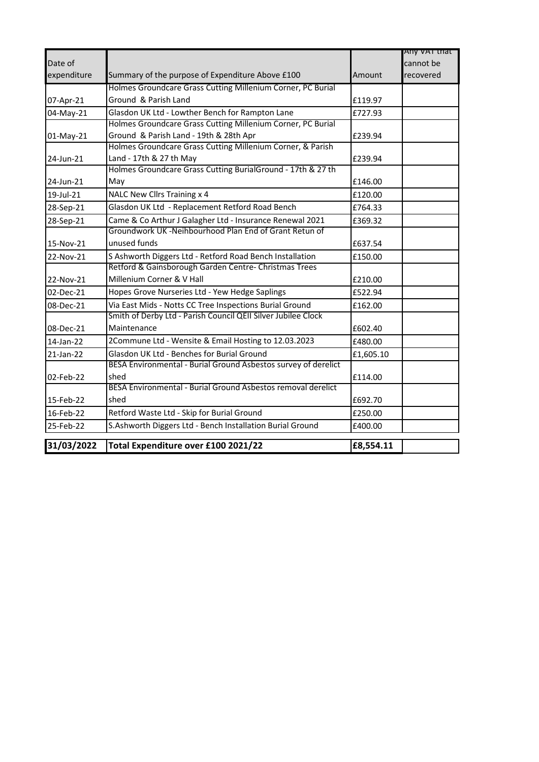|             |                                                                |           | Any va i mat |
|-------------|----------------------------------------------------------------|-----------|--------------|
| Date of     |                                                                |           | cannot be    |
| expenditure | Summary of the purpose of Expenditure Above £100               | Amount    | recovered    |
|             | Holmes Groundcare Grass Cutting Millenium Corner, PC Burial    |           |              |
| 07-Apr-21   | Ground & Parish Land                                           | £119.97   |              |
| 04-May-21   | Glasdon UK Ltd - Lowther Bench for Rampton Lane                | £727.93   |              |
|             | Holmes Groundcare Grass Cutting Millenium Corner, PC Burial    |           |              |
| 01-May-21   | Ground & Parish Land - 19th & 28th Apr                         | £239.94   |              |
|             | Holmes Groundcare Grass Cutting Millenium Corner, & Parish     |           |              |
| 24-Jun-21   | Land - 17th & 27 th May                                        | £239.94   |              |
|             | Holmes Groundcare Grass Cutting BurialGround - 17th & 27 th    |           |              |
| 24-Jun-21   | May                                                            | £146.00   |              |
| 19-Jul-21   | NALC New Cllrs Training x 4                                    | £120.00   |              |
| 28-Sep-21   | Glasdon UK Ltd - Replacement Retford Road Bench                | £764.33   |              |
| 28-Sep-21   | Came & Co Arthur J Galagher Ltd - Insurance Renewal 2021       | £369.32   |              |
|             | Groundwork UK -Neihbourhood Plan End of Grant Retun of         |           |              |
| 15-Nov-21   | unused funds                                                   | £637.54   |              |
| 22-Nov-21   | S Ashworth Diggers Ltd - Retford Road Bench Installation       | £150.00   |              |
|             | Retford & Gainsborough Garden Centre- Christmas Trees          |           |              |
| 22-Nov-21   | Millenium Corner & V Hall                                      | £210.00   |              |
| 02-Dec-21   | Hopes Grove Nurseries Ltd - Yew Hedge Saplings                 | £522.94   |              |
| 08-Dec-21   | Via East Mids - Notts CC Tree Inspections Burial Ground        | £162.00   |              |
|             | Smith of Derby Ltd - Parish Council QEII Silver Jubilee Clock  |           |              |
| 08-Dec-21   | Maintenance                                                    | £602.40   |              |
| 14-Jan-22   | 2Commune Ltd - Wensite & Email Hosting to 12.03.2023           | £480.00   |              |
| 21-Jan-22   | Glasdon UK Ltd - Benches for Burial Ground                     | £1,605.10 |              |
|             | BESA Environmental - Burial Ground Asbestos survey of derelict |           |              |
| 02-Feb-22   | shed                                                           | £114.00   |              |
|             | BESA Environmental - Burial Ground Asbestos removal derelict   |           |              |
| 15-Feb-22   | shed                                                           | £692.70   |              |
| 16-Feb-22   | Retford Waste Ltd - Skip for Burial Ground                     | £250.00   |              |
| 25-Feb-22   | S.Ashworth Diggers Ltd - Bench Installation Burial Ground      | £400.00   |              |
| 31/03/2022  | Total Expenditure over £100 2021/22                            | £8,554.11 |              |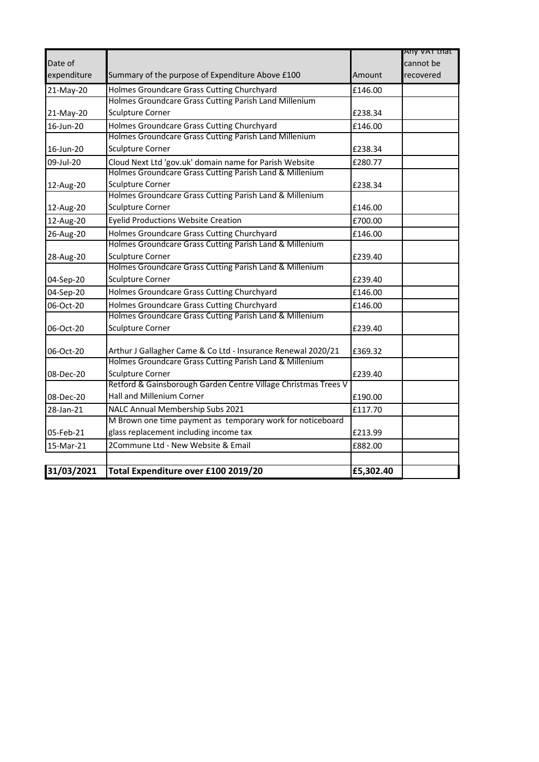|             |                                                                |           | Any var that |
|-------------|----------------------------------------------------------------|-----------|--------------|
| Date of     |                                                                |           | cannot be    |
| expenditure | Summary of the purpose of Expenditure Above £100               | Amount    | recovered    |
| 21-May-20   | Holmes Groundcare Grass Cutting Churchyard                     | £146.00   |              |
|             | Holmes Groundcare Grass Cutting Parish Land Millenium          |           |              |
| 21-May-20   | <b>Sculpture Corner</b>                                        | £238.34   |              |
| 16-Jun-20   | Holmes Groundcare Grass Cutting Churchyard                     | £146.00   |              |
|             | Holmes Groundcare Grass Cutting Parish Land Millenium          |           |              |
| 16-Jun-20   | <b>Sculpture Corner</b>                                        | £238.34   |              |
| 09-Jul-20   | Cloud Next Ltd 'gov.uk' domain name for Parish Website         | £280.77   |              |
|             | Holmes Groundcare Grass Cutting Parish Land & Millenium        |           |              |
| 12-Aug-20   | <b>Sculpture Corner</b>                                        | £238.34   |              |
|             | Holmes Groundcare Grass Cutting Parish Land & Millenium        |           |              |
| 12-Aug-20   | Sculpture Corner                                               | £146.00   |              |
| 12-Aug-20   | <b>Eyelid Productions Website Creation</b>                     | £700.00   |              |
| 26-Aug-20   | Holmes Groundcare Grass Cutting Churchyard                     | £146.00   |              |
|             | Holmes Groundcare Grass Cutting Parish Land & Millenium        |           |              |
| 28-Aug-20   | <b>Sculpture Corner</b>                                        | £239.40   |              |
|             | Holmes Groundcare Grass Cutting Parish Land & Millenium        |           |              |
| 04-Sep-20   | <b>Sculpture Corner</b>                                        | £239.40   |              |
| 04-Sep-20   | Holmes Groundcare Grass Cutting Churchyard                     | £146.00   |              |
| 06-Oct-20   | Holmes Groundcare Grass Cutting Churchyard                     | £146.00   |              |
|             | Holmes Groundcare Grass Cutting Parish Land & Millenium        |           |              |
| 06-Oct-20   | Sculpture Corner                                               | £239.40   |              |
| 06-Oct-20   | Arthur J Gallagher Came & Co Ltd - Insurance Renewal 2020/21   | £369.32   |              |
|             | Holmes Groundcare Grass Cutting Parish Land & Millenium        |           |              |
| 08-Dec-20   | <b>Sculpture Corner</b>                                        | £239.40   |              |
|             | Retford & Gainsborough Garden Centre Village Christmas Trees V |           |              |
| 08-Dec-20   | Hall and Millenium Corner                                      | £190.00   |              |
| 28-Jan-21   | NALC Annual Membership Subs 2021                               | £117.70   |              |
|             | M Brown one time payment as temporary work for noticeboard     |           |              |
| 05-Feb-21   | glass replacement including income tax                         | £213.99   |              |
| 15-Mar-21   | 2Commune Ltd - New Website & Email                             | £882.00   |              |
|             |                                                                |           |              |
| 31/03/2021  | Total Expenditure over £100 2019/20                            | £5,302.40 |              |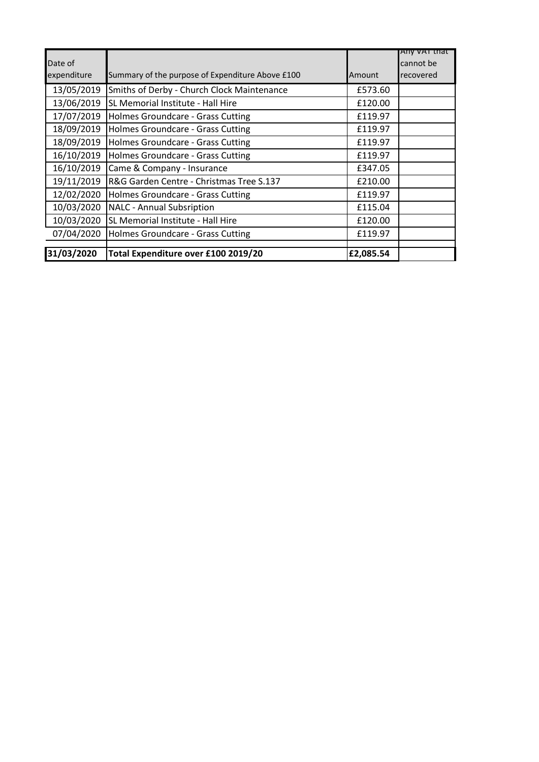| Date of     |                                                  |           | Any van that<br>cannot be |
|-------------|--------------------------------------------------|-----------|---------------------------|
| expenditure | Summary of the purpose of Expenditure Above £100 | Amount    | recovered                 |
| 13/05/2019  | Smiths of Derby - Church Clock Maintenance       | £573.60   |                           |
| 13/06/2019  | SL Memorial Institute - Hall Hire                | £120.00   |                           |
| 17/07/2019  | Holmes Groundcare - Grass Cutting                | £119.97   |                           |
| 18/09/2019  | Holmes Groundcare - Grass Cutting                | £119.97   |                           |
| 18/09/2019  | Holmes Groundcare - Grass Cutting                | £119.97   |                           |
| 16/10/2019  | Holmes Groundcare - Grass Cutting                | £119.97   |                           |
| 16/10/2019  | Came & Company - Insurance                       | £347.05   |                           |
| 19/11/2019  | R&G Garden Centre - Christmas Tree S.137         | £210.00   |                           |
| 12/02/2020  | Holmes Groundcare - Grass Cutting                | £119.97   |                           |
| 10/03/2020  | <b>NALC - Annual Subsription</b>                 | £115.04   |                           |
| 10/03/2020  | SL Memorial Institute - Hall Hire                | £120.00   |                           |
| 07/04/2020  | Holmes Groundcare - Grass Cutting                | £119.97   |                           |
|             |                                                  |           |                           |
| 31/03/2020  | Total Expenditure over £100 2019/20              | £2,085.54 |                           |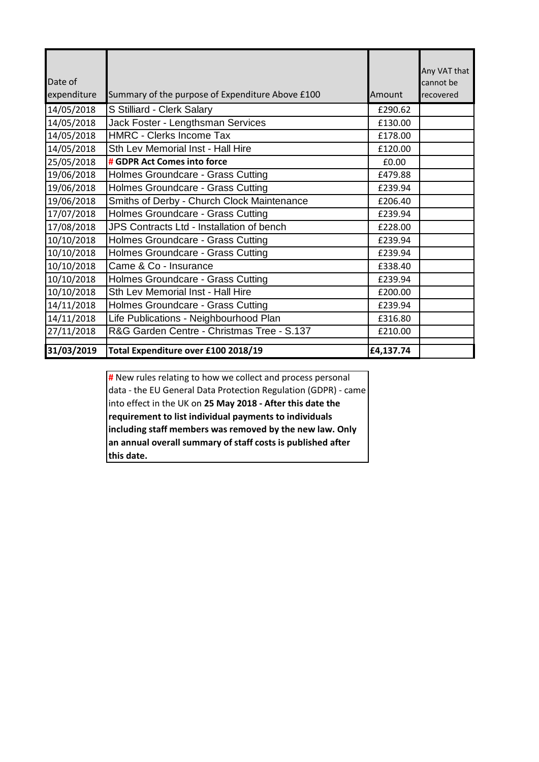| Date of     |                                                  |           | Any VAT that<br>cannot be |
|-------------|--------------------------------------------------|-----------|---------------------------|
| expenditure | Summary of the purpose of Expenditure Above £100 | Amount    | recovered                 |
| 14/05/2018  | S Stilliard - Clerk Salary                       | £290.62   |                           |
| 14/05/2018  | Jack Foster - Lengthsman Services                | £130.00   |                           |
| 14/05/2018  | <b>HMRC - Clerks Income Tax</b>                  | £178.00   |                           |
| 14/05/2018  | Sth Lev Memorial Inst - Hall Hire                | £120.00   |                           |
| 25/05/2018  | # GDPR Act Comes into force                      | £0.00     |                           |
| 19/06/2018  | Holmes Groundcare - Grass Cutting                | £479.88   |                           |
| 19/06/2018  | Holmes Groundcare - Grass Cutting                | £239.94   |                           |
| 19/06/2018  | Smiths of Derby - Church Clock Maintenance       | £206.40   |                           |
| 17/07/2018  | Holmes Groundcare - Grass Cutting                | £239.94   |                           |
| 17/08/2018  | JPS Contracts Ltd - Installation of bench        | £228.00   |                           |
| 10/10/2018  | Holmes Groundcare - Grass Cutting                | £239.94   |                           |
| 10/10/2018  | Holmes Groundcare - Grass Cutting                | £239.94   |                           |
| 10/10/2018  | Came & Co - Insurance                            | £338.40   |                           |
| 10/10/2018  | Holmes Groundcare - Grass Cutting                | £239.94   |                           |
| 10/10/2018  | Sth Lev Memorial Inst - Hall Hire                | £200.00   |                           |
| 14/11/2018  | Holmes Groundcare - Grass Cutting                | £239.94   |                           |
| 14/11/2018  | Life Publications - Neighbourhood Plan           | £316.80   |                           |
| 27/11/2018  | R&G Garden Centre - Christmas Tree - S.137       | £210.00   |                           |
| 31/03/2019  | Total Expenditure over £100 2018/19              | £4,137.74 |                           |

**#** New rules relating to how we collect and process personal data - the EU General Data Protection Regulation (GDPR) - came into effect in the UK on **25 May 2018 - After this date the requirement to list individual payments to individuals including staff members was removed by the new law. Only an annual overall summary of staff costs is published after this date.**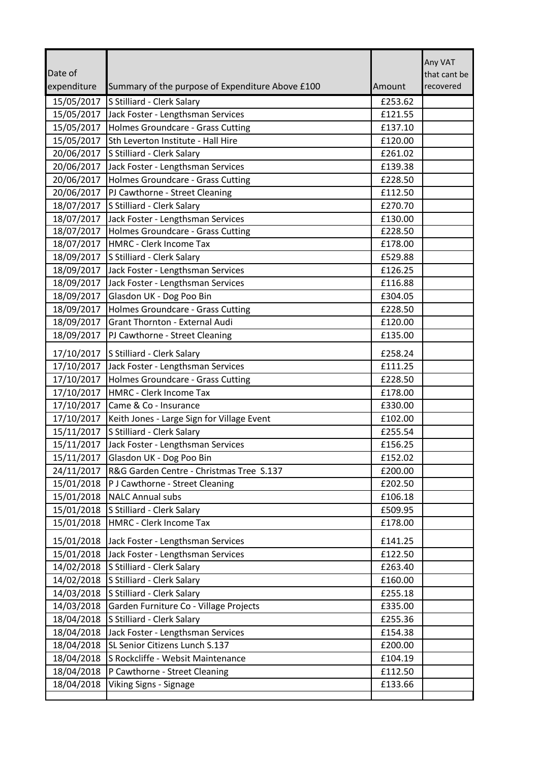|                          |                                                                        |                    | Any VAT                   |
|--------------------------|------------------------------------------------------------------------|--------------------|---------------------------|
| Date of<br>expenditure   |                                                                        | Amount             | that cant be<br>recovered |
|                          | Summary of the purpose of Expenditure Above £100                       |                    |                           |
| 15/05/2017               | S Stilliard - Clerk Salary                                             | £253.62            |                           |
| 15/05/2017               | Jack Foster - Lengthsman Services                                      | £121.55            |                           |
| 15/05/2017<br>15/05/2017 | Holmes Groundcare - Grass Cutting                                      | £137.10<br>£120.00 |                           |
| 20/06/2017               | Sth Leverton Institute - Hall Hire                                     | £261.02            |                           |
| 20/06/2017               | S Stilliard - Clerk Salary                                             | £139.38            |                           |
|                          | Jack Foster - Lengthsman Services<br>Holmes Groundcare - Grass Cutting |                    |                           |
| 20/06/2017<br>20/06/2017 |                                                                        | £228.50            |                           |
| 18/07/2017               | PJ Cawthorne - Street Cleaning                                         | £112.50<br>£270.70 |                           |
|                          | S Stilliard - Clerk Salary                                             |                    |                           |
| 18/07/2017               | Jack Foster - Lengthsman Services<br>Holmes Groundcare - Grass Cutting | £130.00<br>£228.50 |                           |
| 18/07/2017<br>18/07/2017 | HMRC - Clerk Income Tax                                                | £178.00            |                           |
|                          |                                                                        |                    |                           |
| 18/09/2017               | S Stilliard - Clerk Salary                                             | £529.88            |                           |
| 18/09/2017               | Jack Foster - Lengthsman Services                                      | £126.25            |                           |
| 18/09/2017               | Jack Foster - Lengthsman Services                                      | £116.88            |                           |
| 18/09/2017               | Glasdon UK - Dog Poo Bin                                               | £304.05            |                           |
| 18/09/2017               | Holmes Groundcare - Grass Cutting                                      | £228.50            |                           |
| 18/09/2017               | Grant Thornton - External Audi                                         | £120.00            |                           |
| 18/09/2017               | PJ Cawthorne - Street Cleaning                                         | £135.00            |                           |
| 17/10/2017               | S Stilliard - Clerk Salary                                             | £258.24            |                           |
| 17/10/2017               | Jack Foster - Lengthsman Services                                      | £111.25            |                           |
| 17/10/2017               | Holmes Groundcare - Grass Cutting                                      | £228.50            |                           |
| 17/10/2017               | HMRC - Clerk Income Tax                                                | £178.00            |                           |
| 17/10/2017               | Came & Co - Insurance                                                  | £330.00            |                           |
| 17/10/2017               | Keith Jones - Large Sign for Village Event                             | £102.00            |                           |
| 15/11/2017               | S Stilliard - Clerk Salary                                             | £255.54            |                           |
| 15/11/2017               | Jack Foster - Lengthsman Services                                      | £156.25            |                           |
| 15/11/2017               | Glasdon UK - Dog Poo Bin                                               | £152.02            |                           |
| 24/11/2017               | R&G Garden Centre - Christmas Tree S.137                               | £200.00            |                           |
| 15/01/2018               | P J Cawthorne - Street Cleaning                                        | £202.50            |                           |
| 15/01/2018               | <b>NALC Annual subs</b>                                                | £106.18            |                           |
| 15/01/2018               | S Stilliard - Clerk Salary                                             | £509.95            |                           |
| 15/01/2018               | HMRC - Clerk Income Tax                                                | £178.00            |                           |
| 15/01/2018               | Jack Foster - Lengthsman Services                                      | £141.25            |                           |
| 15/01/2018               | Jack Foster - Lengthsman Services                                      | £122.50            |                           |
| 14/02/2018               | S Stilliard - Clerk Salary                                             | £263.40            |                           |
| 14/02/2018               | S Stilliard - Clerk Salary                                             | £160.00            |                           |
| 14/03/2018               | S Stilliard - Clerk Salary                                             | £255.18            |                           |
| 14/03/2018               | Garden Furniture Co - Village Projects                                 | £335.00            |                           |
| 18/04/2018               | S Stilliard - Clerk Salary                                             | £255.36            |                           |
| 18/04/2018               | Jack Foster - Lengthsman Services                                      | £154.38            |                           |
| 18/04/2018               | SL Senior Citizens Lunch S.137                                         | £200.00            |                           |
| 18/04/2018               | S Rockcliffe - Websit Maintenance                                      | £104.19            |                           |
| 18/04/2018               | P Cawthorne - Street Cleaning                                          | £112.50            |                           |
| 18/04/2018               | <b>Viking Signs - Signage</b>                                          | £133.66            |                           |
|                          |                                                                        |                    |                           |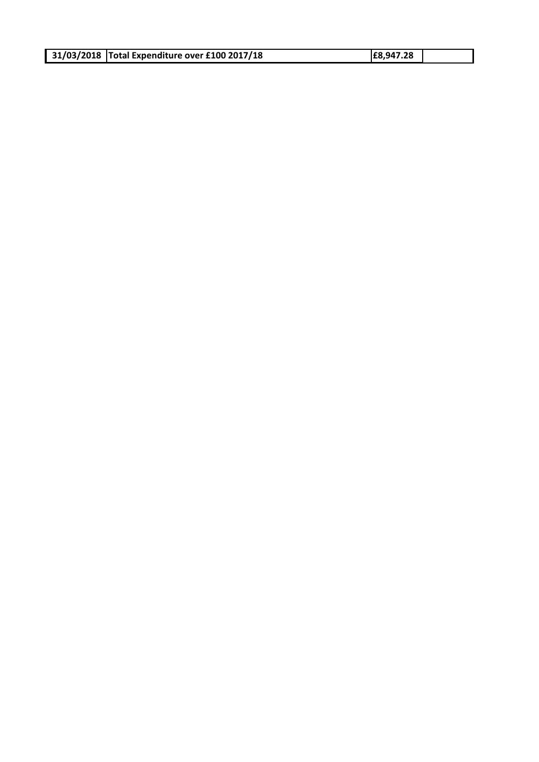| 31/03/2018   Total Expenditure over £100 2017/18 |  |
|--------------------------------------------------|--|
|--------------------------------------------------|--|

**31/03/2018 Total Expenditure over £100 2017/18 £8,947.28**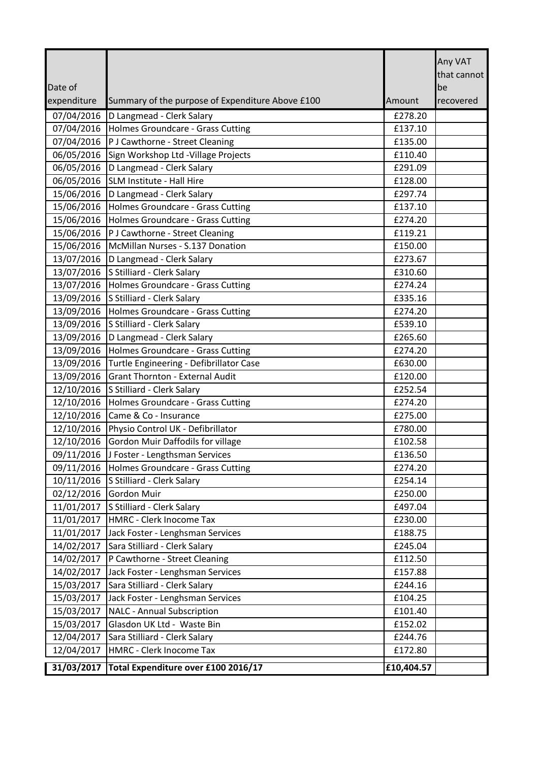|                          |                                                                     |                    | Any VAT<br>that cannot |
|--------------------------|---------------------------------------------------------------------|--------------------|------------------------|
| Date of                  |                                                                     |                    | be                     |
| expenditure              | Summary of the purpose of Expenditure Above £100                    | Amount             | recovered              |
| 07/04/2016               | D Langmead - Clerk Salary                                           | £278.20            |                        |
| 07/04/2016               | Holmes Groundcare - Grass Cutting                                   | £137.10            |                        |
| 07/04/2016               | P J Cawthorne - Street Cleaning                                     | £135.00            |                        |
| 06/05/2016               | Sign Workshop Ltd - Village Projects                                | £110.40            |                        |
| 06/05/2016               | D Langmead - Clerk Salary                                           | £291.09            |                        |
| 06/05/2016               | SLM Institute - Hall Hire                                           | £128.00            |                        |
| 15/06/2016               | D Langmead - Clerk Salary                                           | £297.74            |                        |
| 15/06/2016               | Holmes Groundcare - Grass Cutting                                   | £137.10            |                        |
| 15/06/2016               | Holmes Groundcare - Grass Cutting                                   | £274.20            |                        |
| 15/06/2016               | P J Cawthorne - Street Cleaning<br>McMillan Nurses - S.137 Donation | £119.21            |                        |
| 15/06/2016<br>13/07/2016 | D Langmead - Clerk Salary                                           | £150.00<br>£273.67 |                        |
| 13/07/2016               | S Stilliard - Clerk Salary                                          | £310.60            |                        |
| 13/07/2016               | Holmes Groundcare - Grass Cutting                                   | £274.24            |                        |
| 13/09/2016               | S Stilliard - Clerk Salary                                          | £335.16            |                        |
| 13/09/2016               | Holmes Groundcare - Grass Cutting                                   | £274.20            |                        |
| 13/09/2016               | S Stilliard - Clerk Salary                                          | £539.10            |                        |
| 13/09/2016               | D Langmead - Clerk Salary                                           | £265.60            |                        |
| 13/09/2016               | Holmes Groundcare - Grass Cutting                                   | £274.20            |                        |
| 13/09/2016               | Turtle Engineering - Defibrillator Case                             | £630.00            |                        |
| 13/09/2016               | <b>Grant Thornton - External Audit</b>                              | £120.00            |                        |
| 12/10/2016               | S Stilliard - Clerk Salary                                          | £252.54            |                        |
| 12/10/2016               | Holmes Groundcare - Grass Cutting                                   | £274.20            |                        |
| 12/10/2016               | Came & Co - Insurance                                               | £275.00            |                        |
| 12/10/2016               | Physio Control UK - Defibrillator                                   | £780.00            |                        |
| 12/10/2016               | Gordon Muir Daffodils for village                                   | £102.58            |                        |
| 09/11/2016               | J Foster - Lengthsman Services                                      | £136.50            |                        |
| 09/11/2016               | Holmes Groundcare - Grass Cutting                                   | £274.20            |                        |
| 10/11/2016               | S Stilliard - Clerk Salary                                          | £254.14            |                        |
| 02/12/2016               | Gordon Muir                                                         | £250.00            |                        |
| 11/01/2017               | S Stilliard - Clerk Salary                                          | £497.04            |                        |
| 11/01/2017               | HMRC - Clerk Inocome Tax                                            | £230.00            |                        |
| 11/01/2017               | Jack Foster - Lenghsman Services                                    | £188.75            |                        |
| 14/02/2017<br>14/02/2017 | Sara Stilliard - Clerk Salary<br>P Cawthorne - Street Cleaning      | £245.04<br>£112.50 |                        |
| 14/02/2017               | Jack Foster - Lenghsman Services                                    | £157.88            |                        |
| 15/03/2017               | Sara Stilliard - Clerk Salary                                       | £244.16            |                        |
| 15/03/2017               | Jack Foster - Lenghsman Services                                    | £104.25            |                        |
| 15/03/2017               | <b>NALC</b> - Annual Subscription                                   | £101.40            |                        |
| 15/03/2017               | Glasdon UK Ltd - Waste Bin                                          | £152.02            |                        |
| 12/04/2017               | Sara Stilliard - Clerk Salary                                       | £244.76            |                        |
| 12/04/2017               | HMRC - Clerk Inocome Tax                                            | £172.80            |                        |
|                          | 31/03/2017 Total Expenditure over £100 2016/17                      | £10,404.57         |                        |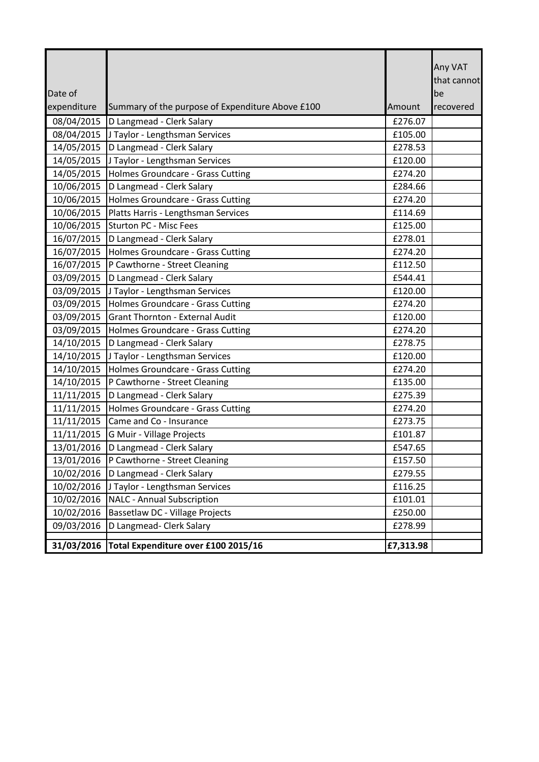| Date of     |                                                  |           | Any VAT<br>that cannot<br>be |
|-------------|--------------------------------------------------|-----------|------------------------------|
| expenditure | Summary of the purpose of Expenditure Above £100 | Amount    | recovered                    |
| 08/04/2015  | D Langmead - Clerk Salary                        | £276.07   |                              |
| 08/04/2015  | J Taylor - Lengthsman Services                   | £105.00   |                              |
| 14/05/2015  | D Langmead - Clerk Salary                        | £278.53   |                              |
| 14/05/2015  | J Taylor - Lengthsman Services                   | £120.00   |                              |
| 14/05/2015  | Holmes Groundcare - Grass Cutting                | £274.20   |                              |
| 10/06/2015  | D Langmead - Clerk Salary                        | £284.66   |                              |
| 10/06/2015  | Holmes Groundcare - Grass Cutting                | £274.20   |                              |
| 10/06/2015  | Platts Harris - Lengthsman Services              | £114.69   |                              |
| 10/06/2015  | <b>Sturton PC - Misc Fees</b>                    | £125.00   |                              |
| 16/07/2015  | D Langmead - Clerk Salary                        | £278.01   |                              |
| 16/07/2015  | Holmes Groundcare - Grass Cutting                | £274.20   |                              |
| 16/07/2015  | P Cawthorne - Street Cleaning                    | £112.50   |                              |
| 03/09/2015  | D Langmead - Clerk Salary                        | £544.41   |                              |
| 03/09/2015  | J Taylor - Lengthsman Services                   | £120.00   |                              |
| 03/09/2015  | Holmes Groundcare - Grass Cutting                | £274.20   |                              |
| 03/09/2015  | <b>Grant Thornton - External Audit</b>           | £120.00   |                              |
| 03/09/2015  | Holmes Groundcare - Grass Cutting                | £274.20   |                              |
| 14/10/2015  | D Langmead - Clerk Salary                        | £278.75   |                              |
| 14/10/2015  | J Taylor - Lengthsman Services                   | £120.00   |                              |
| 14/10/2015  | Holmes Groundcare - Grass Cutting                | £274.20   |                              |
| 14/10/2015  | P Cawthorne - Street Cleaning                    | £135.00   |                              |
| 11/11/2015  | D Langmead - Clerk Salary                        | £275.39   |                              |
| 11/11/2015  | Holmes Groundcare - Grass Cutting                | £274.20   |                              |
| 11/11/2015  | Came and Co - Insurance                          | £273.75   |                              |
| 11/11/2015  | G Muir - Village Projects                        | £101.87   |                              |
| 13/01/2016  | D Langmead - Clerk Salary                        | £547.65   |                              |
| 13/01/2016  | P Cawthorne - Street Cleaning                    | £157.50   |                              |
| 10/02/2016  | D Langmead - Clerk Salary                        | £279.55   |                              |
| 10/02/2016  | J Taylor - Lengthsman Services                   | £116.25   |                              |
| 10/02/2016  | <b>NALC - Annual Subscription</b>                | £101.01   |                              |
| 10/02/2016  | Bassetlaw DC - Village Projects                  | £250.00   |                              |
| 09/03/2016  | D Langmead- Clerk Salary                         | £278.99   |                              |
| 31/03/2016  | Total Expenditure over £100 2015/16              | £7,313.98 |                              |